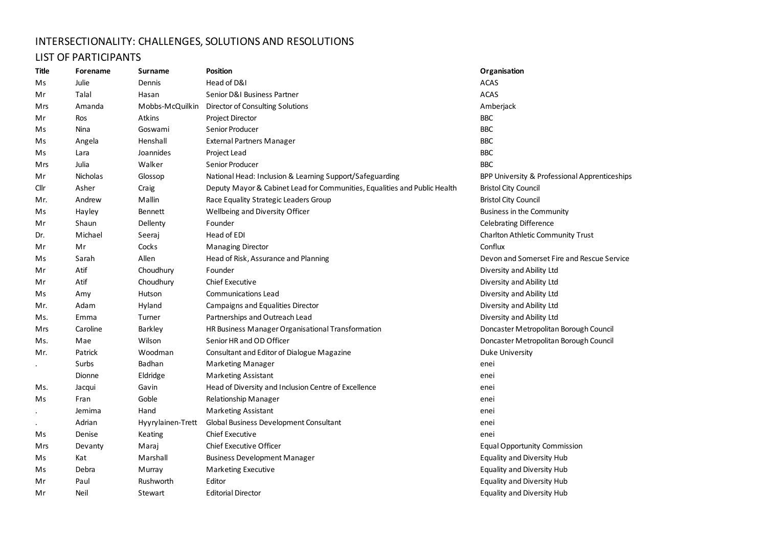## INTERSECTIONALITY: CHALLENGES, SOLUTIONS AND RESOLUTIONS

## LIST OF PARTICIPANTS

| Title | Forename | Surname           | <b>Position</b>                                                           | Organisation                                  |
|-------|----------|-------------------|---------------------------------------------------------------------------|-----------------------------------------------|
| Ms    | Julie    | Dennis            | Head of D&I                                                               | <b>ACAS</b>                                   |
| Mr    | Talal    | Hasan             | Senior D&I Business Partner                                               | <b>ACAS</b>                                   |
| Mrs   | Amanda   | Mobbs-McQuilkin   | Director of Consulting Solutions                                          | Amberjack                                     |
| Mr    | Ros      | Atkins            | <b>Project Director</b>                                                   | <b>BBC</b>                                    |
| Ms    | Nina     | Goswami           | Senior Producer                                                           | <b>BBC</b>                                    |
| Ms    | Angela   | Henshall          | <b>External Partners Manager</b>                                          | <b>BBC</b>                                    |
| Ms    | Lara     | Joannides         | Project Lead                                                              | <b>BBC</b>                                    |
| Mrs   | Julia    | Walker            | Senior Producer                                                           | <b>BBC</b>                                    |
| Mr    | Nicholas | Glossop           | National Head: Inclusion & Learning Support/Safeguarding                  | BPP University & Professional Apprenticeships |
| Cllr  | Asher    | Craig             | Deputy Mayor & Cabinet Lead for Communities, Equalities and Public Health | <b>Bristol City Council</b>                   |
| Mr.   | Andrew   | Mallin            | Race Equality Strategic Leaders Group                                     | <b>Bristol City Council</b>                   |
| Ms    | Hayley   | Bennett           | Wellbeing and Diversity Officer                                           | Business in the Community                     |
| Mr    | Shaun    | Dellenty          | Founder                                                                   | <b>Celebrating Difference</b>                 |
| Dr.   | Michael  | Seeraj            | Head of EDI                                                               | Charlton Athletic Community Trust             |
| Mr    | Mr       | Cocks             | <b>Managing Director</b>                                                  | Conflux                                       |
| Ms    | Sarah    | Allen             | Head of Risk, Assurance and Planning                                      | Devon and Somerset Fire and Rescue Service    |
| Mr    | Atif     | Choudhury         | Founder                                                                   | Diversity and Ability Ltd                     |
| Mr    | Atif     | Choudhury         | Chief Executive                                                           | Diversity and Ability Ltd                     |
| Ms    | Amy      | Hutson            | Communications Lead                                                       | Diversity and Ability Ltd                     |
| Mr.   | Adam     | Hyland            | Campaigns and Equalities Director                                         | Diversity and Ability Ltd                     |
| Ms.   | Emma     | Turner            | Partnerships and Outreach Lead                                            | Diversity and Ability Ltd                     |
| Mrs   | Caroline | Barkley           | HR Business Manager Organisational Transformation                         | Doncaster Metropolitan Borough Council        |
| Ms.   | Mae      | Wilson            | Senior HR and OD Officer                                                  | Doncaster Metropolitan Borough Council        |
| Mr.   | Patrick  | Woodman           | Consultant and Editor of Dialogue Magazine                                | <b>Duke University</b>                        |
|       | Surbs    | Badhan            | <b>Marketing Manager</b>                                                  | enei                                          |
|       | Dionne   | Eldridge          | <b>Marketing Assistant</b>                                                | enei                                          |
| Ms.   | Jacqui   | Gavin             | Head of Diversity and Inclusion Centre of Excellence                      | enei                                          |
| Ms    | Fran     | Goble             | Relationship Manager                                                      | enei                                          |
|       | Jemima   | Hand              | <b>Marketing Assistant</b>                                                | enei                                          |
|       | Adrian   | Hyyrylainen-Trett | Global Business Development Consultant                                    | enei                                          |
| Ms    | Denise   | Keating           | Chief Executive                                                           | enei                                          |
| Mrs   | Devanty  | Maraj             | Chief Executive Officer                                                   | <b>Equal Opportunity Commission</b>           |
| Ms    | Kat      | Marshall          | <b>Business Development Manager</b>                                       | Equality and Diversity Hub                    |
| Ms    | Debra    | Murray            | Marketing Executive                                                       | <b>Equality and Diversity Hub</b>             |
| Mr    | Paul     | Rushworth         | Editor                                                                    | Equality and Diversity Hub                    |
| Mr    | Neil     | Stewart           | <b>Editorial Director</b>                                                 | <b>Equality and Diversity Hub</b>             |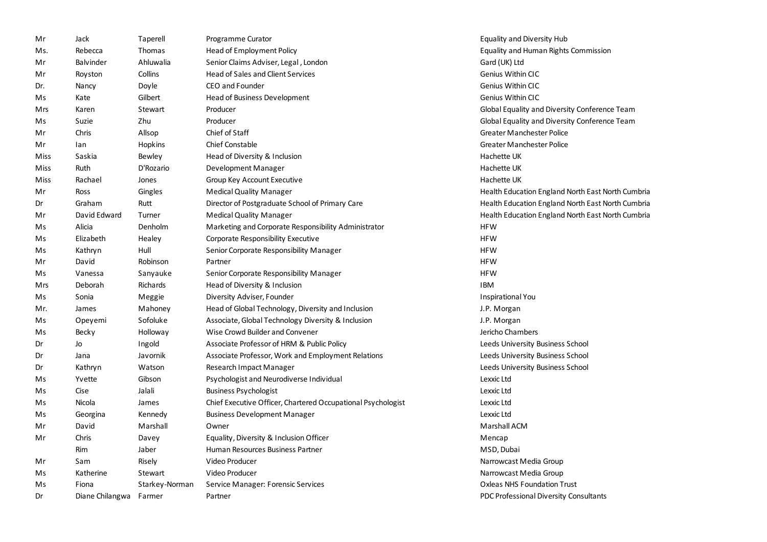| Mr   | Jack                   | Taperell       | Programme Curator                                            | Equality and Diversity Hub                        |
|------|------------------------|----------------|--------------------------------------------------------------|---------------------------------------------------|
| Ms.  | Rebecca                | Thomas         | Head of Employment Policy                                    | Equality and Human Rights Commission              |
| Mr   | Balvinder              | Ahluwalia      | Senior Claims Adviser, Legal, London                         | Gard (UK) Ltd                                     |
| Mr   | Royston                | Collins        | <b>Head of Sales and Client Services</b>                     | Genius Within CIC                                 |
| Dr.  | Nancy                  | Doyle          | CEO and Founder                                              | Genius Within CIC                                 |
| Ms   | Kate                   | Gilbert        | Head of Business Development                                 | <b>Genius Within CIC</b>                          |
| Mrs  | Karen                  | Stewart        | Producer                                                     | Global Equality and Diversity Conference Team     |
| Ms   | Suzie                  | Zhu            | Producer                                                     | Global Equality and Diversity Conference Team     |
| Mr   | Chris                  | Allsop         | Chief of Staff                                               | Greater Manchester Police                         |
| Mr   | lan                    | Hopkins        | <b>Chief Constable</b>                                       | <b>Greater Manchester Police</b>                  |
| Miss | Saskia                 | Bewley         | Head of Diversity & Inclusion                                | Hachette UK                                       |
| Miss | Ruth                   | D'Rozario      | Development Manager                                          | Hachette UK                                       |
| Miss | Rachael                | Jones          | Group Key Account Executive                                  | Hachette UK                                       |
| Mr   | Ross                   | Gingles        | <b>Medical Quality Manager</b>                               | Health Education England North East North Cumbria |
| Dr   | Graham                 | Rutt           | Director of Postgraduate School of Primary Care              | Health Education England North East North Cumbria |
| Mr   | David Edward           | Turner         | <b>Medical Quality Manager</b>                               | Health Education England North East North Cumbria |
| Ms   | Alicia                 | Denholm        | Marketing and Corporate Responsibility Administrator         | <b>HFW</b>                                        |
| Ms   | Elizabeth              | Healey         | Corporate Responsibility Executive                           | <b>HFW</b>                                        |
| Ms   | Kathryn                | Hull           | Senior Corporate Responsibility Manager                      | <b>HFW</b>                                        |
| Mr   | David                  | Robinson       | Partner                                                      | <b>HFW</b>                                        |
| Ms   | Vanessa                | Sanyauke       | Senior Corporate Responsibility Manager                      | <b>HFW</b>                                        |
| Mrs  | Deborah                | Richards       | Head of Diversity & Inclusion                                | <b>IBM</b>                                        |
| Ms   | Sonia                  | Meggie         | Diversity Adviser, Founder                                   | <b>Inspirational You</b>                          |
| Mr.  | James                  | Mahoney        | Head of Global Technology, Diversity and Inclusion           | J.P. Morgan                                       |
| Ms   | Opeyemi                | Sofoluke       | Associate, Global Technology Diversity & Inclusion           | J.P. Morgan                                       |
| Ms   | Becky                  | Holloway       | Wise Crowd Builder and Convener                              | Jericho Chambers                                  |
| Dr   | Jo                     | Ingold         | Associate Professor of HRM & Public Policy                   | Leeds University Business School                  |
| Dr   | Jana                   | Javornik       | Associate Professor, Work and Employment Relations           | Leeds University Business School                  |
| Dr   | Kathryn                | Watson         | Research Impact Manager                                      | Leeds University Business School                  |
| Ms   | Yvette                 | Gibson         | Psychologist and Neurodiverse Individual                     | Lexxic Ltd                                        |
| Ms   | Cise                   | Jalali         | <b>Business Psychologist</b>                                 | Lexxic Ltd                                        |
| Ms   | Nicola                 | James          | Chief Executive Officer, Chartered Occupational Psychologist | Lexxic Ltd                                        |
| Ms   | Georgina               | Kennedy        | <b>Business Development Manager</b>                          | Lexxic Ltd                                        |
| Mr   | David                  | Marshall       | Owner                                                        | Marshall ACM                                      |
| Mr   | Chris                  | Davey          | Equality, Diversity & Inclusion Officer                      | Mencap                                            |
|      | Rim                    | Jaber          | Human Resources Business Partner                             | MSD, Dubai                                        |
| Mr   | Sam                    | Risely         | Video Producer                                               | Narrowcast Media Group                            |
| Ms   | Katherine              | Stewart        | Video Producer                                               | Narrowcast Media Group                            |
| Ms   | Fiona                  | Starkey-Norman | Service Manager: Forensic Services                           | <b>Oxleas NHS Foundation Trust</b>                |
| Dr   | Diane Chilangwa Farmer |                | Partner                                                      | PDC Professional Diversity Consultants            |